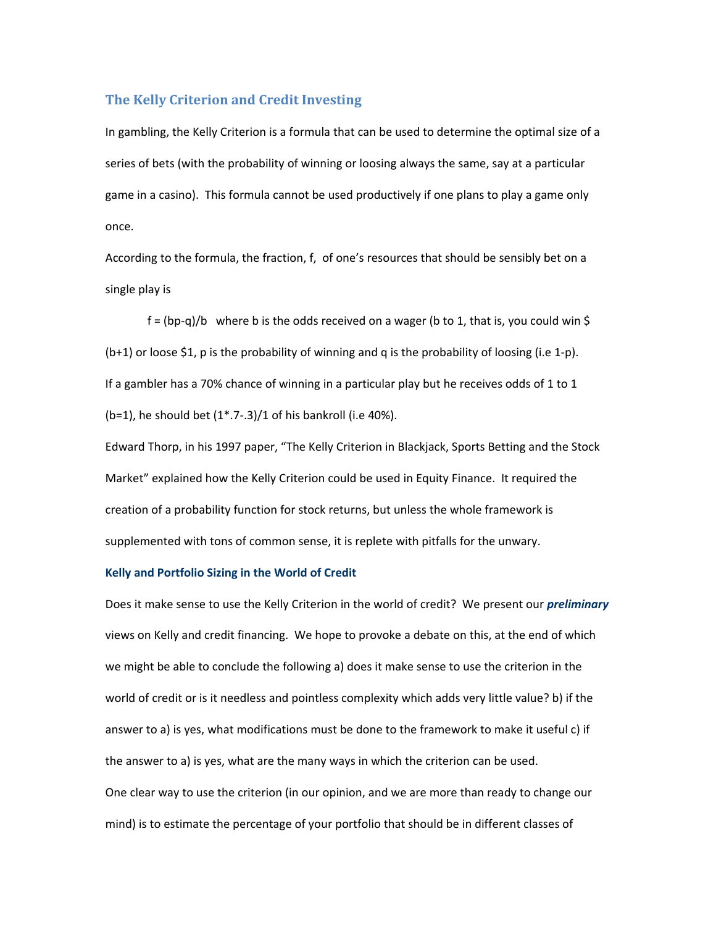## **The Kelly Criterion and Credit Investing**

In gambling, the Kelly Criterion is a formula that can be used to determine the optimal size of a series of bets (with the probability of winning or loosing always the same, say at a particular game in a casino). This formula cannot be used productively if one plans to play a game only once.

According to the formula, the fraction, f, of one's resources that should be sensibly bet on a single play is

 $f = (bp-q)/b$  where b is the odds received on a wager (b to 1, that is, you could win \$ (b+1) or loose \$1, p is the probability of winning and q is the probability of loosing (i.e 1-p). If a gambler has a 70% chance of winning in a particular play but he receives odds of 1 to 1 (b=1), he should bet  $(1^*$ .7-.3)/1 of his bankroll (i.e 40%).

Edward Thorp, in his 1997 paper, "The Kelly Criterion in Blackjack, Sports Betting and the Stock Market" explained how the Kelly Criterion could be used in Equity Finance. It required the creation of a probability function for stock returns, but unless the whole framework is supplemented with tons of common sense, it is replete with pitfalls for the unwary.

## **Kelly and Portfolio Sizing in the World of Credit**

Does it make sense to use the Kelly Criterion in the world of credit? We present our *preliminary* views on Kelly and credit financing. We hope to provoke a debate on this, at the end of which we might be able to conclude the following a) does it make sense to use the criterion in the world of credit or is it needless and pointless complexity which adds very little value? b) if the answer to a) is yes, what modifications must be done to the framework to make it useful c) if the answer to a) is yes, what are the many ways in which the criterion can be used. One clear way to use the criterion (in our opinion, and we are more than ready to change our mind) is to estimate the percentage of your portfolio that should be in different classes of